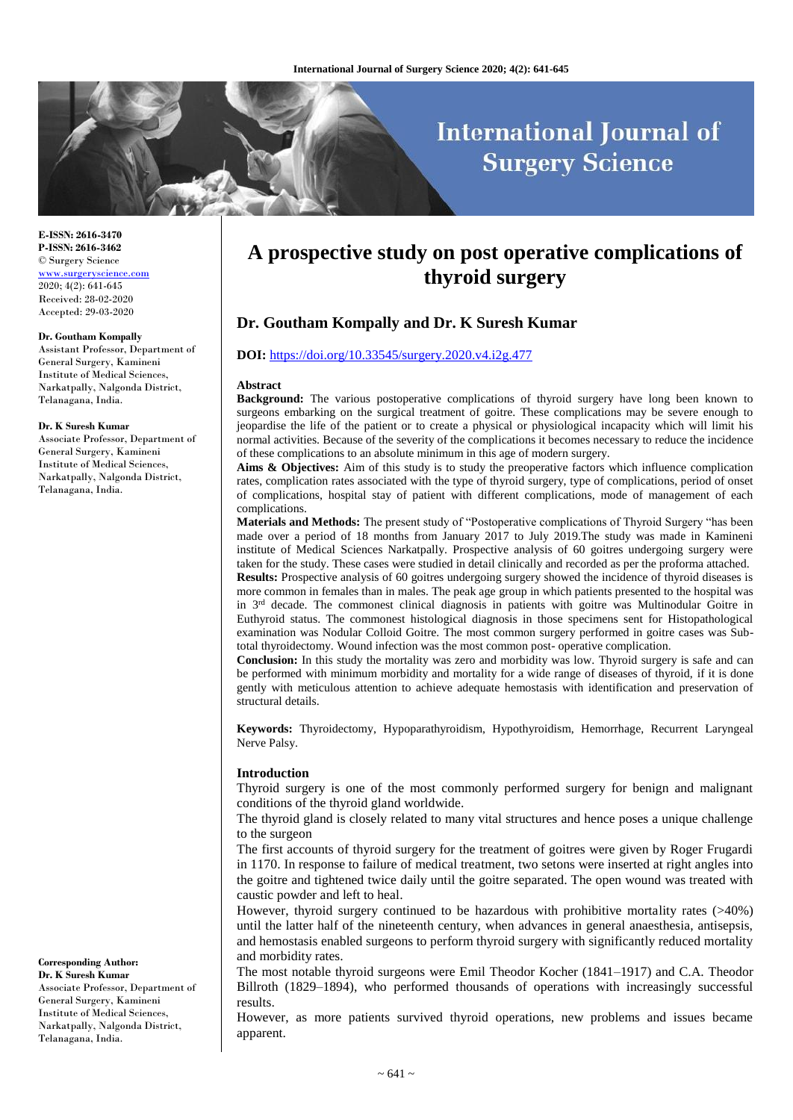# **International Journal of Surgery Science**

**E-ISSN: 2616-3470 P-ISSN: 2616-3462** © Surgery Science [www.surgeryscience.com](http://www.surgeryscience.com/)  $2020:4(2):641-645$ Received: 28-02-2020 Accepted: 29-03-2020

#### **Dr. Goutham Kompally**

Assistant Professor, Department of General Surgery, Kamineni Institute of Medical Sciences, Narkatpally, Nalgonda District, Telanagana, India.

#### **Dr. K Suresh Kumar**

Associate Professor, Department of General Surgery, Kamineni Institute of Medical Sciences, Narkatpally, Nalgonda District, Telanagana, India.

**Corresponding Author: Dr. K Suresh Kumar** Associate Professor, Department of General Surgery, Kamineni Institute of Medical Sciences, Narkatpally, Nalgonda District, Telanagana, India.

## **A prospective study on post operative complications of thyroid surgery**

## **Dr. Goutham Kompally and Dr. K Suresh Kumar**

#### **DOI:** [https://doi.org/10.33545/surgery.2020.v4.i2g.477](https://doi.org/)

#### **Abstract**

**Background:** The various postoperative complications of thyroid surgery have long been known to surgeons embarking on the surgical treatment of goitre. These complications may be severe enough to jeopardise the life of the patient or to create a physical or physiological incapacity which will limit his normal activities. Because of the severity of the complications it becomes necessary to reduce the incidence of these complications to an absolute minimum in this age of modern surgery.

**Aims & Objectives:** Aim of this study is to study the preoperative factors which influence complication rates, complication rates associated with the type of thyroid surgery, type of complications, period of onset of complications, hospital stay of patient with different complications, mode of management of each complications.

**Materials and Methods:** The present study of "Postoperative complications of Thyroid Surgery "has been made over a period of 18 months from January 2017 to July 2019.The study was made in Kamineni institute of Medical Sciences Narkatpally. Prospective analysis of 60 goitres undergoing surgery were taken for the study. These cases were studied in detail clinically and recorded as per the proforma attached. **Results:** Prospective analysis of 60 goitres undergoing surgery showed the incidence of thyroid diseases is

more common in females than in males. The peak age group in which patients presented to the hospital was in 3<sup>rd</sup> decade. The commonest clinical diagnosis in patients with goitre was Multinodular Goitre in Euthyroid status. The commonest histological diagnosis in those specimens sent for Histopathological examination was Nodular Colloid Goitre. The most common surgery performed in goitre cases was Subtotal thyroidectomy. Wound infection was the most common post- operative complication.

**Conclusion:** In this study the mortality was zero and morbidity was low. Thyroid surgery is safe and can be performed with minimum morbidity and mortality for a wide range of diseases of thyroid, if it is done gently with meticulous attention to achieve adequate hemostasis with identification and preservation of structural details.

**Keywords:** Thyroidectomy, Hypoparathyroidism, Hypothyroidism, Hemorrhage, Recurrent Laryngeal Nerve Palsy.

#### **Introduction**

Thyroid surgery is one of the most commonly performed surgery for benign and malignant conditions of the thyroid gland worldwide.

The thyroid gland is closely related to many vital structures and hence poses a unique challenge to the surgeon

The first accounts of thyroid surgery for the treatment of goitres were given by Roger Frugardi in 1170. In response to failure of medical treatment, two setons were inserted at right angles into the goitre and tightened twice daily until the goitre separated. The open wound was treated with caustic powder and left to heal.

However, thyroid surgery continued to be hazardous with prohibitive mortality rates (>40%) until the latter half of the nineteenth century, when advances in general anaesthesia, antisepsis, and hemostasis enabled surgeons to perform thyroid surgery with significantly reduced mortality and morbidity rates.

The most notable thyroid surgeons were Emil Theodor Kocher (1841–1917) and C.A. Theodor Billroth (1829–1894), who performed thousands of operations with increasingly successful results.

However, as more patients survived thyroid operations, new problems and issues became apparent.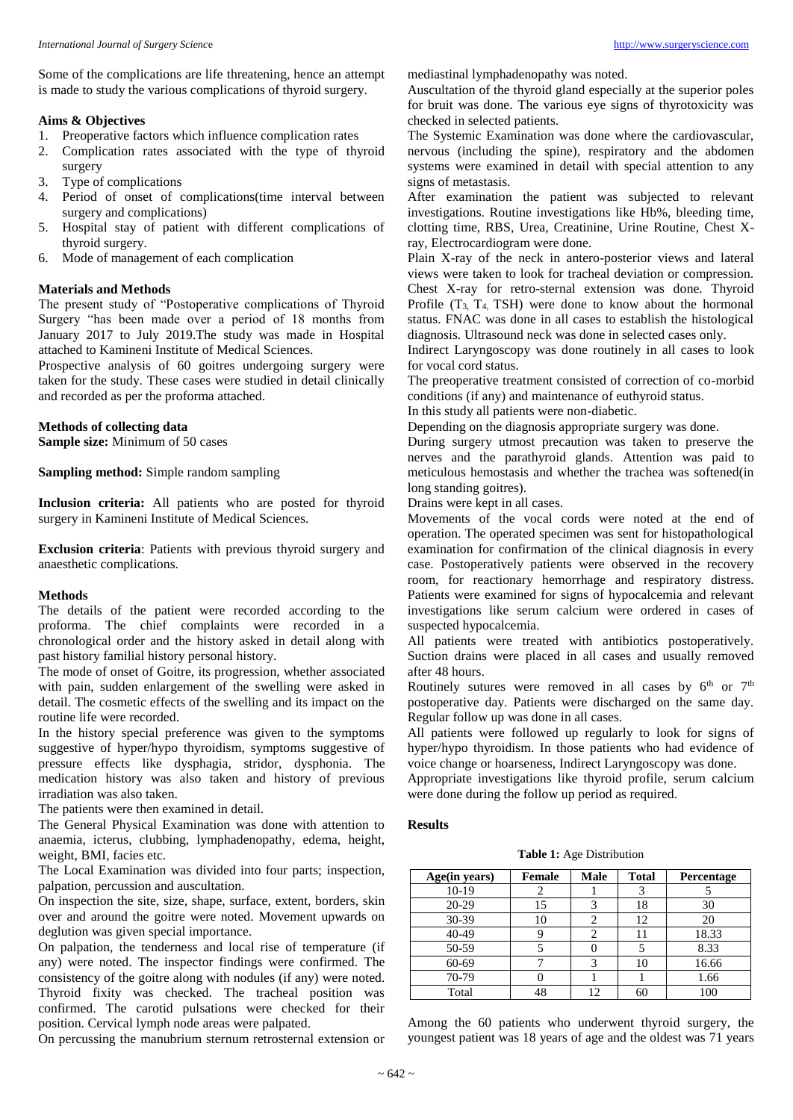Some of the complications are life threatening, hence an attempt is made to study the various complications of thyroid surgery.

#### **Aims & Objectives**

- 1. Preoperative factors which influence complication rates
- 2. Complication rates associated with the type of thyroid surgery
- 3. Type of complications
- 4. Period of onset of complications(time interval between surgery and complications)
- 5. Hospital stay of patient with different complications of thyroid surgery.
- 6. Mode of management of each complication

## **Materials and Methods**

The present study of "Postoperative complications of Thyroid Surgery "has been made over a period of 18 months from January 2017 to July 2019.The study was made in Hospital attached to Kamineni Institute of Medical Sciences.

Prospective analysis of 60 goitres undergoing surgery were taken for the study. These cases were studied in detail clinically and recorded as per the proforma attached.

## **Methods of collecting data**

**Sample size:** Minimum of 50 cases

**Sampling method:** Simple random sampling

**Inclusion criteria:** All patients who are posted for thyroid surgery in Kamineni Institute of Medical Sciences.

**Exclusion criteria**: Patients with previous thyroid surgery and anaesthetic complications.

#### **Methods**

The details of the patient were recorded according to the proforma. The chief complaints were recorded in a chronological order and the history asked in detail along with past history familial history personal history.

The mode of onset of Goitre, its progression, whether associated with pain, sudden enlargement of the swelling were asked in detail. The cosmetic effects of the swelling and its impact on the routine life were recorded.

In the history special preference was given to the symptoms suggestive of hyper/hypo thyroidism, symptoms suggestive of pressure effects like dysphagia, stridor, dysphonia. The medication history was also taken and history of previous irradiation was also taken.

The patients were then examined in detail.

The General Physical Examination was done with attention to anaemia, icterus, clubbing, lymphadenopathy, edema, height, weight, BMI, facies etc.

The Local Examination was divided into four parts; inspection, palpation, percussion and auscultation.

On inspection the site, size, shape, surface, extent, borders, skin over and around the goitre were noted. Movement upwards on deglution was given special importance.

On palpation, the tenderness and local rise of temperature (if any) were noted. The inspector findings were confirmed. The consistency of the goitre along with nodules (if any) were noted. Thyroid fixity was checked. The tracheal position was confirmed. The carotid pulsations were checked for their position. Cervical lymph node areas were palpated.

On percussing the manubrium sternum retrosternal extension or

mediastinal lymphadenopathy was noted.

Auscultation of the thyroid gland especially at the superior poles for bruit was done. The various eye signs of thyrotoxicity was checked in selected patients.

The Systemic Examination was done where the cardiovascular, nervous (including the spine), respiratory and the abdomen systems were examined in detail with special attention to any signs of metastasis.

After examination the patient was subjected to relevant investigations. Routine investigations like Hb%, bleeding time, clotting time, RBS, Urea, Creatinine, Urine Routine, Chest Xray, Electrocardiogram were done.

Plain X-ray of the neck in antero-posterior views and lateral views were taken to look for tracheal deviation or compression. Chest X-ray for retro-sternal extension was done. Thyroid Profile  $(T_3, T_4, TSH)$  were done to know about the hormonal status. FNAC was done in all cases to establish the histological diagnosis. Ultrasound neck was done in selected cases only.

Indirect Laryngoscopy was done routinely in all cases to look for vocal cord status.

The preoperative treatment consisted of correction of co-morbid conditions (if any) and maintenance of euthyroid status.

In this study all patients were non-diabetic.

Depending on the diagnosis appropriate surgery was done.

During surgery utmost precaution was taken to preserve the nerves and the parathyroid glands. Attention was paid to meticulous hemostasis and whether the trachea was softened(in long standing goitres).

Drains were kept in all cases.

Movements of the vocal cords were noted at the end of operation. The operated specimen was sent for histopathological examination for confirmation of the clinical diagnosis in every case. Postoperatively patients were observed in the recovery room, for reactionary hemorrhage and respiratory distress. Patients were examined for signs of hypocalcemia and relevant investigations like serum calcium were ordered in cases of suspected hypocalcemia.

All patients were treated with antibiotics postoperatively. Suction drains were placed in all cases and usually removed after 48 hours.

Routinely sutures were removed in all cases by  $6<sup>th</sup>$  or  $7<sup>th</sup>$ postoperative day. Patients were discharged on the same day. Regular follow up was done in all cases.

All patients were followed up regularly to look for signs of hyper/hypo thyroidism. In those patients who had evidence of voice change or hoarseness, Indirect Laryngoscopy was done.

Appropriate investigations like thyroid profile, serum calcium were done during the follow up period as required.

## **Results**

**Table 1:** Age Distribution

| Age(in years) | <b>Female</b> | Male | <b>Total</b> | Percentage |
|---------------|---------------|------|--------------|------------|
| $10-19$       |               |      |              |            |
| $20-29$       | 15            |      | 18           | 30         |
| 30-39         | 10            |      | 12           | 20         |
| 40-49         |               | 2    | 11           | 18.33      |
| 50-59         |               |      |              | 8.33       |
| 60-69         |               |      | 10           | 16.66      |
| 70-79         |               |      |              | 1.66       |
| Total         |               | 1つ   | 60           | 100        |

Among the 60 patients who underwent thyroid surgery, the youngest patient was 18 years of age and the oldest was 71 years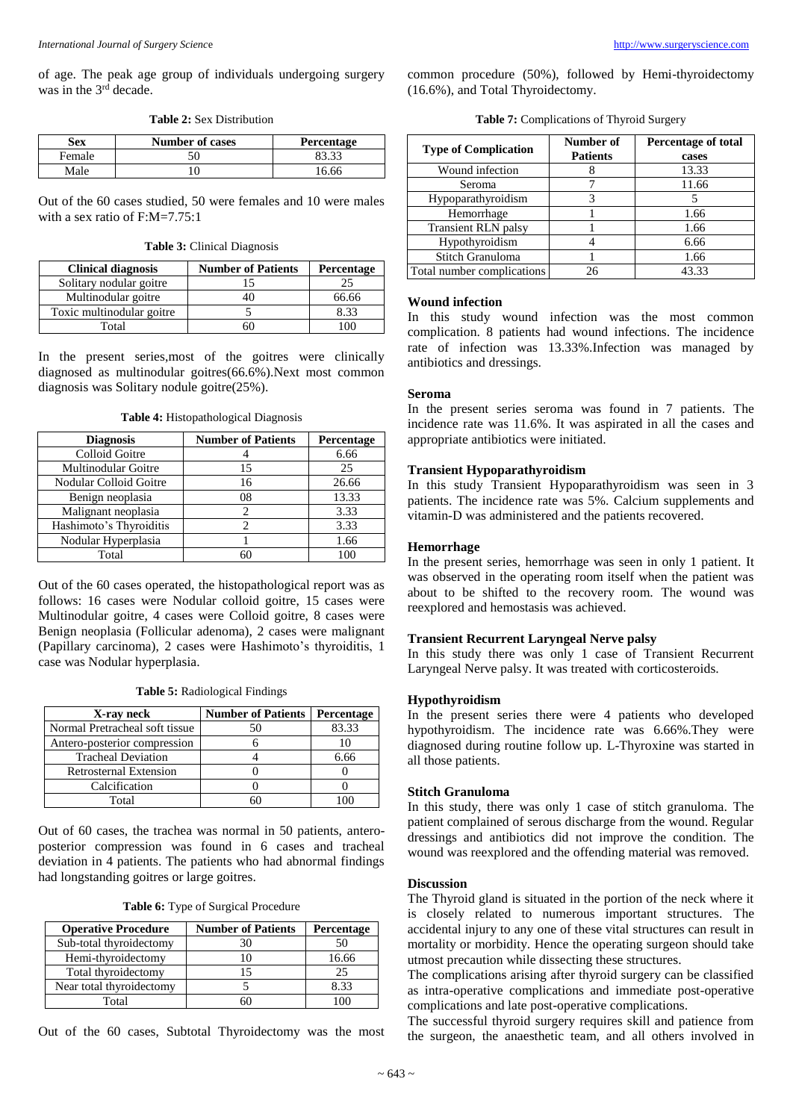of age. The peak age group of individuals undergoing surgery was in the 3<sup>rd</sup> decade.

**Table 2:** Sex Distribution

| Sex    | <b>Number of cases</b> | Percentage |
|--------|------------------------|------------|
| Female |                        |            |
| Male   |                        | 16.66      |

Out of the 60 cases studied, 50 were females and 10 were males with a sex ratio of F:M=7.75:1

**Table 3:** Clinical Diagnosis

| <b>Clinical diagnosis</b> | <b>Number of Patients</b> | Percentage |
|---------------------------|---------------------------|------------|
| Solitary nodular goitre   |                           |            |
| Multinodular goitre       |                           | 66.66      |
| Toxic multinodular goitre |                           | 8.33       |
| Total                     |                           | $\Omega$   |

In the present series,most of the goitres were clinically diagnosed as multinodular goitres(66.6%).Next most common diagnosis was Solitary nodule goitre(25%).

**Table 4:** Histopathological Diagnosis

| <b>Diagnosis</b>        | <b>Number of Patients</b> | Percentage |
|-------------------------|---------------------------|------------|
| Colloid Goitre          |                           | 6.66       |
| Multinodular Goitre     | 15                        | 25         |
| Nodular Colloid Goitre  | 16                        | 26.66      |
| Benign neoplasia        | 08                        | 13.33      |
| Malignant neoplasia     |                           | 3.33       |
| Hashimoto's Thyroiditis |                           | 3.33       |
| Nodular Hyperplasia     |                           | 1.66       |
| Total                   |                           | 100        |

Out of the 60 cases operated, the histopathological report was as follows: 16 cases were Nodular colloid goitre, 15 cases were Multinodular goitre, 4 cases were Colloid goitre, 8 cases were Benign neoplasia (Follicular adenoma), 2 cases were malignant (Papillary carcinoma), 2 cases were Hashimoto's thyroiditis, 1 case was Nodular hyperplasia.

| X-ray neck                     | <b>Number of Patients</b> | Percentage |
|--------------------------------|---------------------------|------------|
| Normal Pretracheal soft tissue |                           | 83.33      |
| Antero-posterior compression   |                           |            |
| <b>Tracheal Deviation</b>      |                           | 6.66       |
| Retrosternal Extension         |                           |            |
| Calcification                  |                           |            |
| Total                          |                           |            |

Out of 60 cases, the trachea was normal in 50 patients, anteroposterior compression was found in 6 cases and tracheal deviation in 4 patients. The patients who had abnormal findings had longstanding goitres or large goitres.

**Table 6:** Type of Surgical Procedure

| <b>Operative Procedure</b> | <b>Number of Patients</b> | <b>Percentage</b> |
|----------------------------|---------------------------|-------------------|
| Sub-total thyroidectomy    |                           |                   |
| Hemi-thyroidectomy         |                           | 16.66             |
| Total thyroidectomy        |                           | 25                |
| Near total thyroidectomy   |                           | 8.33              |
| Total                      |                           |                   |

Out of the 60 cases, Subtotal Thyroidectomy was the most

common procedure (50%), followed by Hemi-thyroidectomy (16.6%), and Total Thyroidectomy.

**Table 7:** Complications of Thyroid Surgery

| <b>Type of Complication</b> | Number of<br><b>Patients</b> | <b>Percentage of total</b><br>cases |
|-----------------------------|------------------------------|-------------------------------------|
| Wound infection             |                              | 13.33                               |
| Seroma                      |                              | 11.66                               |
| Hypoparathyroidism          |                              |                                     |
| Hemorrhage                  |                              | 1.66                                |
| <b>Transient RLN palsy</b>  |                              | 1.66                                |
| Hypothyroidism              |                              | 6.66                                |
| Stitch Granuloma            |                              | 1.66                                |
| Total number complications  | 26                           | 43.33                               |

#### **Wound infection**

In this study wound infection was the most common complication. 8 patients had wound infections. The incidence rate of infection was 13.33%.Infection was managed by antibiotics and dressings.

## **Seroma**

In the present series seroma was found in 7 patients. The incidence rate was 11.6%. It was aspirated in all the cases and appropriate antibiotics were initiated.

#### **Transient Hypoparathyroidism**

In this study Transient Hypoparathyroidism was seen in 3 patients. The incidence rate was 5%. Calcium supplements and vitamin-D was administered and the patients recovered.

#### **Hemorrhage**

In the present series, hemorrhage was seen in only 1 patient. It was observed in the operating room itself when the patient was about to be shifted to the recovery room. The wound was reexplored and hemostasis was achieved.

#### **Transient Recurrent Laryngeal Nerve palsy**

In this study there was only 1 case of Transient Recurrent Laryngeal Nerve palsy. It was treated with corticosteroids.

## **Hypothyroidism**

In the present series there were 4 patients who developed hypothyroidism. The incidence rate was 6.66%.They were diagnosed during routine follow up. L-Thyroxine was started in all those patients.

## **Stitch Granuloma**

In this study, there was only 1 case of stitch granuloma. The patient complained of serous discharge from the wound. Regular dressings and antibiotics did not improve the condition. The wound was reexplored and the offending material was removed.

#### **Discussion**

The Thyroid gland is situated in the portion of the neck where it is closely related to numerous important structures. The accidental injury to any one of these vital structures can result in mortality or morbidity. Hence the operating surgeon should take utmost precaution while dissecting these structures.

The complications arising after thyroid surgery can be classified as intra-operative complications and immediate post-operative complications and late post-operative complications.

The successful thyroid surgery requires skill and patience from the surgeon, the anaesthetic team, and all others involved in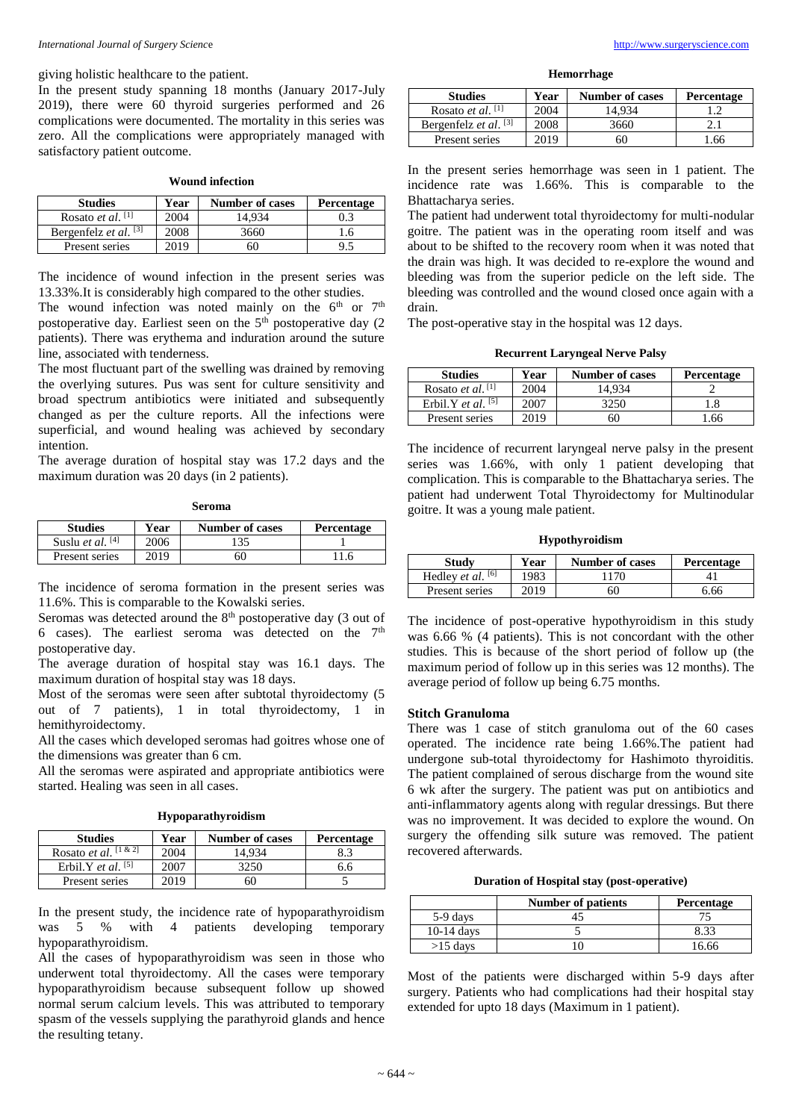giving holistic healthcare to the patient.

In the present study spanning 18 months (January 2017-July 2019), there were 60 thyroid surgeries performed and 26 complications were documented. The mortality in this series was zero. All the complications were appropriately managed with satisfactory patient outcome.

| <b>Wound infection</b> |  |
|------------------------|--|
|------------------------|--|

| <b>Studies</b>                | Year | <b>Number of cases</b> | Percentage |
|-------------------------------|------|------------------------|------------|
| Rosato <i>et al.</i> $^{[1]}$ | 2004 | 14.934                 | ).3        |
| Bergenfelz et al. $[3]$       | 2008 | 3660                   |            |
| Present series                | 2019 | ы                      | 9.         |

The incidence of wound infection in the present series was 13.33%.It is considerably high compared to the other studies.

The wound infection was noted mainly on the  $6<sup>th</sup>$  or  $7<sup>th</sup>$ postoperative day. Earliest seen on the 5<sup>th</sup> postoperative day (2) patients). There was erythema and induration around the suture line, associated with tenderness.

The most fluctuant part of the swelling was drained by removing the overlying sutures. Pus was sent for culture sensitivity and broad spectrum antibiotics were initiated and subsequently changed as per the culture reports. All the infections were superficial, and wound healing was achieved by secondary intention.

The average duration of hospital stay was 17.2 days and the maximum duration was 20 days (in 2 patients).

| <b>Studies</b>            | Year | <b>Number of cases</b> | Percentage |
|---------------------------|------|------------------------|------------|
| Suslu <i>et al.</i> $[4]$ | 2006 | 135                    |            |
| Present series            | 2019 | 60                     |            |

The incidence of seroma formation in the present series was 11.6%. This is comparable to the Kowalski series.

Seromas was detected around the 8<sup>th</sup> postoperative day (3 out of 6 cases). The earliest seroma was detected on the  $7<sup>th</sup>$ postoperative day.

The average duration of hospital stay was 16.1 days. The maximum duration of hospital stay was 18 days.

Most of the seromas were seen after subtotal thyroidectomy (5 out of 7 patients), 1 in total thyroidectomy, 1 in hemithyroidectomy.

All the cases which developed seromas had goitres whose one of the dimensions was greater than 6 cm.

All the seromas were aspirated and appropriate antibiotics were started. Healing was seen in all cases.

|  | Hypoparathyroidism |
|--|--------------------|
|--|--------------------|

| <b>Studies</b>                  | Year | <b>Number of cases</b> | Percentage |
|---------------------------------|------|------------------------|------------|
| Rosato <i>et al.</i> $[1 \& 2]$ | 2004 | 14.934                 | 8.3        |
| Erbil.Y <i>et al.</i> $^{[5]}$  | 2007 | 3250                   | 6.6        |
| Present series                  | 2019 | 60                     |            |

In the present study, the incidence rate of hypoparathyroidism was 5 % with 4 patients developing temporary hypoparathyroidism.

All the cases of hypoparathyroidism was seen in those who underwent total thyroidectomy. All the cases were temporary hypoparathyroidism because subsequent follow up showed normal serum calcium levels. This was attributed to temporary spasm of the vessels supplying the parathyroid glands and hence the resulting tetany.

**Hemorrhage**

| <b>Studies</b>                | Year | <b>Number of cases</b> | Percentage |
|-------------------------------|------|------------------------|------------|
| Rosato <i>et al.</i> $^{[1]}$ | 2004 | 14.934                 |            |
| Bergenfelz <i>et al.</i> [3]  | 2008 | 3660                   |            |
| Present series                | 2019 | 60                     | .66        |

In the present series hemorrhage was seen in 1 patient. The incidence rate was 1.66%. This is comparable to the Bhattacharya series.

The patient had underwent total thyroidectomy for multi-nodular goitre. The patient was in the operating room itself and was about to be shifted to the recovery room when it was noted that the drain was high. It was decided to re-explore the wound and bleeding was from the superior pedicle on the left side. The bleeding was controlled and the wound closed once again with a drain.

The post-operative stay in the hospital was 12 days.

**Recurrent Laryngeal Nerve Palsy**

| <b>Studies</b>                      | Year | <b>Number of cases</b> | <b>Percentage</b> |
|-------------------------------------|------|------------------------|-------------------|
| Rosato <i>et al.</i> <sup>[1]</sup> | 2004 | 14.934                 |                   |
| Erbil.Y <i>et al.</i> $^{[5]}$      | 2007 | 3250                   | 1.8               |
| Present series                      | 2019 | 60                     | 1.66              |

The incidence of recurrent laryngeal nerve palsy in the present series was 1.66%, with only 1 patient developing that complication. This is comparable to the Bhattacharya series. The patient had underwent Total Thyroidectomy for Multinodular goitre. It was a young male patient.

**Hypothyroidism**

| Study                      | Year | <b>Number of cases</b> | <b>Percentage</b> |
|----------------------------|------|------------------------|-------------------|
| Hedley <i>et al.</i> $[6]$ | 1983 | 170                    |                   |
| Present series             | 2019 | 6C                     | 6.66              |

The incidence of post-operative hypothyroidism in this study was 6.66 % (4 patients). This is not concordant with the other studies. This is because of the short period of follow up (the maximum period of follow up in this series was 12 months). The average period of follow up being 6.75 months.

#### **Stitch Granuloma**

There was 1 case of stitch granuloma out of the 60 cases operated. The incidence rate being 1.66%.The patient had undergone sub-total thyroidectomy for Hashimoto thyroiditis. The patient complained of serous discharge from the wound site 6 wk after the surgery. The patient was put on antibiotics and anti-inflammatory agents along with regular dressings. But there was no improvement. It was decided to explore the wound. On surgery the offending silk suture was removed. The patient recovered afterwards.

**Duration of Hospital stay (post-operative)**

|              | <b>Number of patients</b> | <b>Percentage</b> |
|--------------|---------------------------|-------------------|
| 5-9 days     |                           |                   |
| $10-14$ days |                           | 8.33              |
| $>15$ days   |                           | 16.66             |

Most of the patients were discharged within 5-9 days after surgery. Patients who had complications had their hospital stay extended for upto 18 days (Maximum in 1 patient).